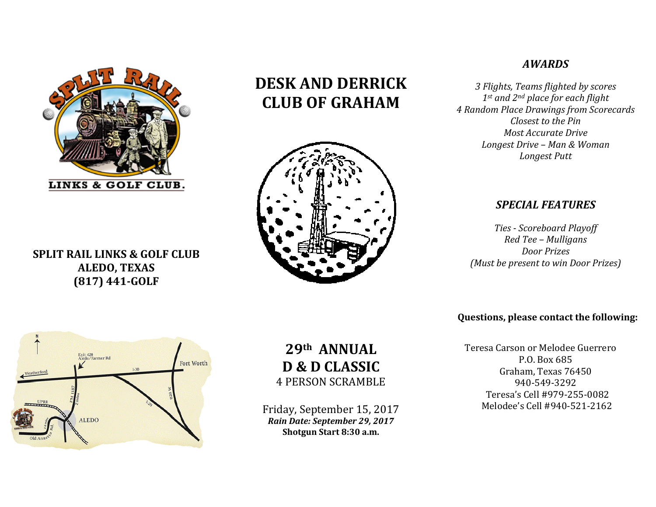

# **SPLIT RAIL LINKS & GOLF CLUB ALEDO, TEXAS (817) 441‐GOLF**

# **DESK AND DERRICK CLUB OF GRAHAM**



# *AWARDS*

*3 Flights, Teams flighted by scores 1st and 2nd place for each flight 4 Random Place Drawings from Scorecards Closest to the PinMost Accurate Drive Longest Drive – Man & Woman Longest Putt*

## *SPECIAL FEATURES*

*Ties ‐ Scoreboard Playoff Red Tee – Mulligans Door Prizes (Must be present to win Door Prizes)*

## **Questions, please contact the following:**

Teresa Carson or Melodee Guerrero P.O. Box 685 Graham, Texas 76450 940‐549‐3292 Teresa's Cell #979‐255‐0082 Melodee's Cell #940-521-2162



# **29th ANNUALD & D CLASSIC** 4 PERSON SCRAMBLE

Friday, September 15, 2017 *Rain Date: September 29, 2017* **Shotgun Start 8:30 a.m.**